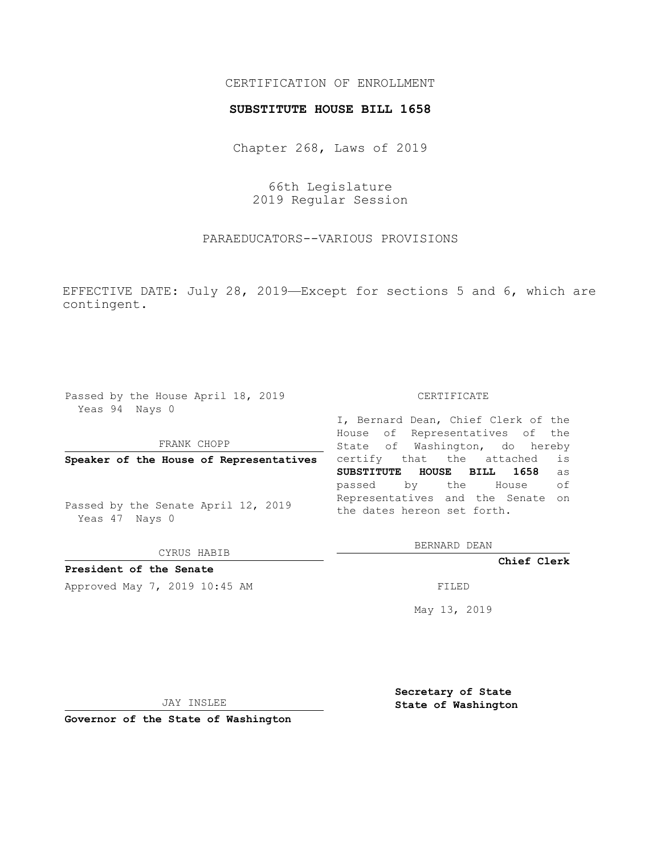## CERTIFICATION OF ENROLLMENT

### **SUBSTITUTE HOUSE BILL 1658**

Chapter 268, Laws of 2019

66th Legislature 2019 Regular Session

PARAEDUCATORS--VARIOUS PROVISIONS

EFFECTIVE DATE: July 28, 2019—Except for sections 5 and 6, which are contingent.

Passed by the House April 18, 2019 Yeas 94 Nays 0

FRANK CHOPP

**Speaker of the House of Representatives**

Passed by the Senate April 12, 2019 Yeas 47 Nays 0

CYRUS HABIB

**President of the Senate**

Approved May 7, 2019 10:45 AM FILED

#### CERTIFICATE

I, Bernard Dean, Chief Clerk of the House of Representatives of the State of Washington, do hereby certify that the attached is **SUBSTITUTE HOUSE BILL 1658** as passed by the House of Representatives and the Senate on the dates hereon set forth.

BERNARD DEAN

**Chief Clerk**

May 13, 2019

JAY INSLEE

**Governor of the State of Washington**

**Secretary of State State of Washington**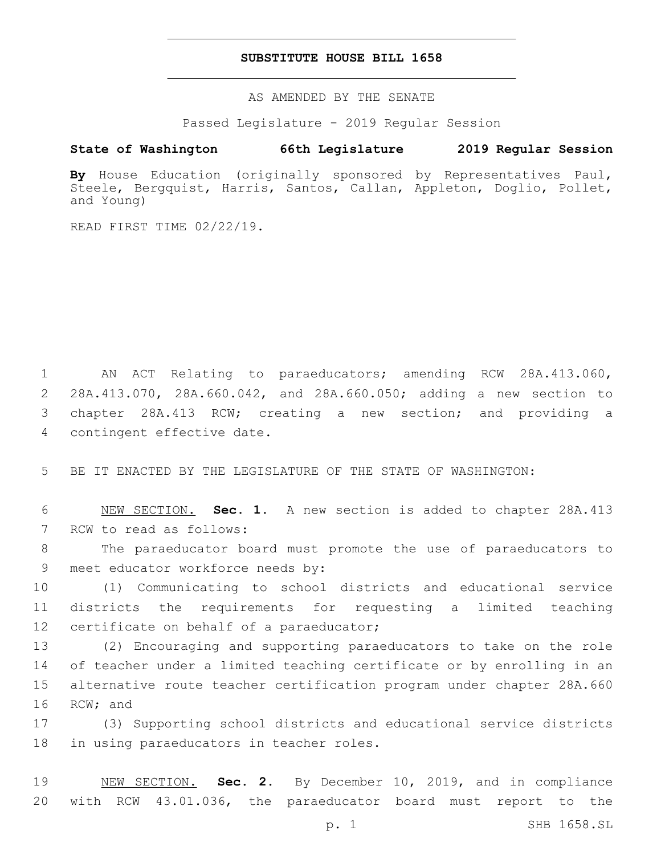## **SUBSTITUTE HOUSE BILL 1658**

AS AMENDED BY THE SENATE

Passed Legislature - 2019 Regular Session

# **State of Washington 66th Legislature 2019 Regular Session**

**By** House Education (originally sponsored by Representatives Paul, Steele, Bergquist, Harris, Santos, Callan, Appleton, Doglio, Pollet, and Young)

READ FIRST TIME 02/22/19.

 AN ACT Relating to paraeducators; amending RCW 28A.413.060, 28A.413.070, 28A.660.042, and 28A.660.050; adding a new section to chapter 28A.413 RCW; creating a new section; and providing a 4 contingent effective date.

5 BE IT ENACTED BY THE LEGISLATURE OF THE STATE OF WASHINGTON:

6 NEW SECTION. **Sec. 1.** A new section is added to chapter 28A.413 7 RCW to read as follows:

8 The paraeducator board must promote the use of paraeducators to 9 meet educator workforce needs by:

10 (1) Communicating to school districts and educational service 11 districts the requirements for requesting a limited teaching 12 certificate on behalf of a paraeducator;

 (2) Encouraging and supporting paraeducators to take on the role of teacher under a limited teaching certificate or by enrolling in an alternative route teacher certification program under chapter 28A.660 16 RCW; and

17 (3) Supporting school districts and educational service districts 18 in using paraeducators in teacher roles.

19 NEW SECTION. **Sec. 2.** By December 10, 2019, and in compliance 20 with RCW 43.01.036, the paraeducator board must report to the

p. 1 SHB 1658.SL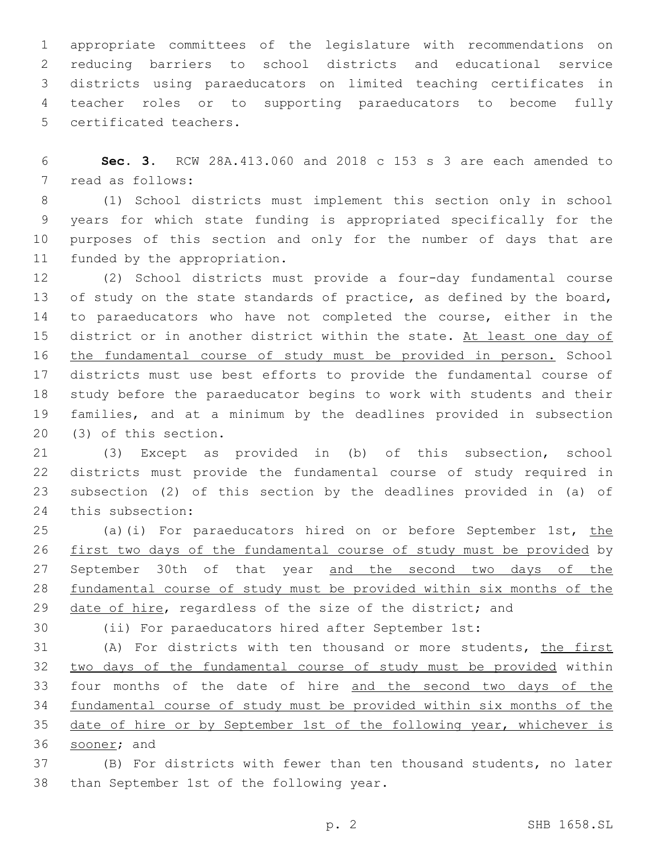appropriate committees of the legislature with recommendations on reducing barriers to school districts and educational service districts using paraeducators on limited teaching certificates in teacher roles or to supporting paraeducators to become fully 5 certificated teachers.

 **Sec. 3.** RCW 28A.413.060 and 2018 c 153 s 3 are each amended to 7 read as follows:

 (1) School districts must implement this section only in school years for which state funding is appropriated specifically for the purposes of this section and only for the number of days that are 11 funded by the appropriation.

 (2) School districts must provide a four-day fundamental course 13 of study on the state standards of practice, as defined by the board, to paraeducators who have not completed the course, either in the 15 district or in another district within the state. At least one day of the fundamental course of study must be provided in person. School districts must use best efforts to provide the fundamental course of study before the paraeducator begins to work with students and their families, and at a minimum by the deadlines provided in subsection 20 (3) of this section.

 (3) Except as provided in (b) of this subsection, school districts must provide the fundamental course of study required in subsection (2) of this section by the deadlines provided in (a) of 24 this subsection:

25 (a)(i) For paraeducators hired on or before September 1st, the first two days of the fundamental course of study must be provided by 27 September 30th of that year and the second two days of the fundamental course of study must be provided within six months of the 29 date of hire, regardless of the size of the district; and

(ii) For paraeducators hired after September 1st:

 (A) For districts with ten thousand or more students, the first two days of the fundamental course of study must be provided within four months of the date of hire and the second two days of the fundamental course of study must be provided within six months of the 35 date of hire or by September 1st of the following year, whichever is 36 sooner; and

 (B) For districts with fewer than ten thousand students, no later 38 than September 1st of the following year.

p. 2 SHB 1658.SL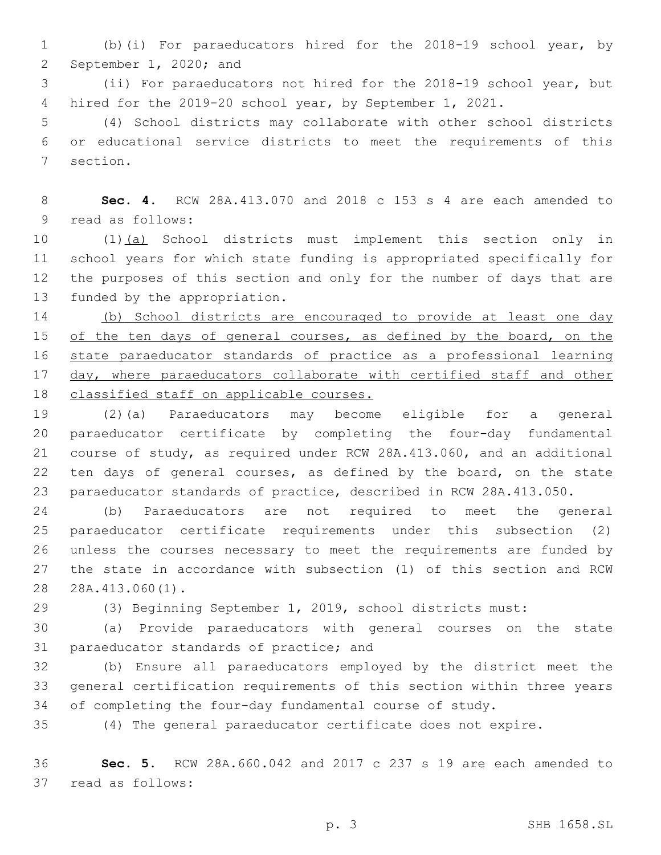(b)(i) For paraeducators hired for the 2018-19 school year, by 2 September 1, 2020; and

 (ii) For paraeducators not hired for the 2018-19 school year, but hired for the 2019-20 school year, by September 1, 2021.

 (4) School districts may collaborate with other school districts or educational service districts to meet the requirements of this 7 section.

 **Sec. 4.** RCW 28A.413.070 and 2018 c 153 s 4 are each amended to 9 read as follows:

 (1)(a) School districts must implement this section only in school years for which state funding is appropriated specifically for the purposes of this section and only for the number of days that are 13 funded by the appropriation.

 (b) School districts are encouraged to provide at least one day 15 of the ten days of general courses, as defined by the board, on the state paraeducator standards of practice as a professional learning day, where paraeducators collaborate with certified staff and other 18 classified staff on applicable courses.

 (2)(a) Paraeducators may become eligible for a general paraeducator certificate by completing the four-day fundamental course of study, as required under RCW 28A.413.060, and an additional ten days of general courses, as defined by the board, on the state paraeducator standards of practice, described in RCW 28A.413.050.

 (b) Paraeducators are not required to meet the general paraeducator certificate requirements under this subsection (2) unless the courses necessary to meet the requirements are funded by the state in accordance with subsection (1) of this section and RCW 28 28A.413.060(1).

(3) Beginning September 1, 2019, school districts must:

 (a) Provide paraeducators with general courses on the state 31 paraeducator standards of practice; and

 (b) Ensure all paraeducators employed by the district meet the general certification requirements of this section within three years of completing the four-day fundamental course of study.

(4) The general paraeducator certificate does not expire.

 **Sec. 5.** RCW 28A.660.042 and 2017 c 237 s 19 are each amended to 37 read as follows: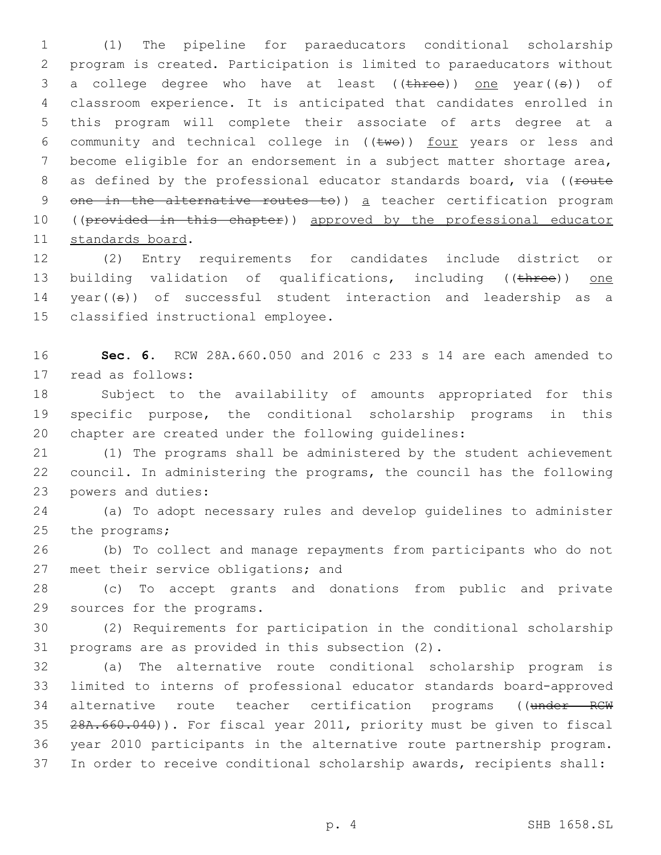1 (1) The pipeline for paraeducators conditional scholarship 2 program is created. Participation is limited to paraeducators without 3 a college degree who have at least ((three)) one year((s)) of 4 classroom experience. It is anticipated that candidates enrolled in 5 this program will complete their associate of arts degree at a 6 community and technical college in  $((\text{two}))$  four years or less and 7 become eligible for an endorsement in a subject matter shortage area, 8 as defined by the professional educator standards board, via ((route 9 one in the alternative routes to)) a teacher certification program 10 ((provided in this chapter)) approved by the professional educator 11 standards board.

12 (2) Entry requirements for candidates include district or 13 building validation of qualifications, including ((three)) one 14 year((s)) of successful student interaction and leadership as a 15 classified instructional employee.

16 **Sec. 6.** RCW 28A.660.050 and 2016 c 233 s 14 are each amended to 17 read as follows:

18 Subject to the availability of amounts appropriated for this 19 specific purpose, the conditional scholarship programs in this 20 chapter are created under the following guidelines:

21 (1) The programs shall be administered by the student achievement 22 council. In administering the programs, the council has the following 23 powers and duties:

24 (a) To adopt necessary rules and develop guidelines to administer 25 the programs;

26 (b) To collect and manage repayments from participants who do not 27 meet their service obligations; and

28 (c) To accept grants and donations from public and private 29 sources for the programs.

30 (2) Requirements for participation in the conditional scholarship 31 programs are as provided in this subsection (2).

 (a) The alternative route conditional scholarship program is limited to interns of professional educator standards board-approved 34 alternative route teacher certification programs ((under RCW 28A.660.040)). For fiscal year 2011, priority must be given to fiscal year 2010 participants in the alternative route partnership program. In order to receive conditional scholarship awards, recipients shall: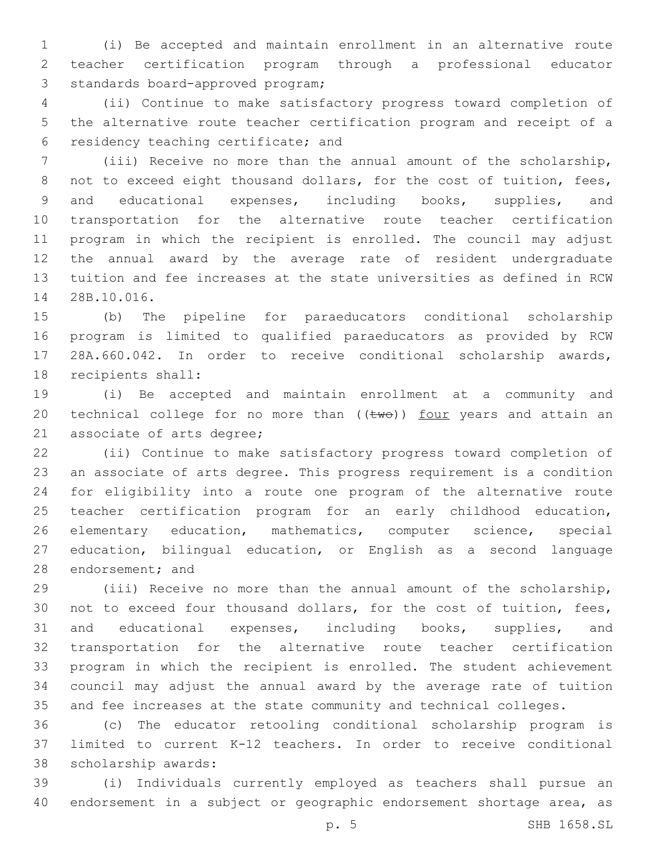(i) Be accepted and maintain enrollment in an alternative route teacher certification program through a professional educator 3 standards board-approved program;

 (ii) Continue to make satisfactory progress toward completion of the alternative route teacher certification program and receipt of a 6 residency teaching certificate; and

 (iii) Receive no more than the annual amount of the scholarship, 8 not to exceed eight thousand dollars, for the cost of tuition, fees, and educational expenses, including books, supplies, and transportation for the alternative route teacher certification program in which the recipient is enrolled. The council may adjust the annual award by the average rate of resident undergraduate tuition and fee increases at the state universities as defined in RCW 28B.10.016.14

 (b) The pipeline for paraeducators conditional scholarship program is limited to qualified paraeducators as provided by RCW 28A.660.042. In order to receive conditional scholarship awards, 18 recipients shall:

 (i) Be accepted and maintain enrollment at a community and 20 technical college for no more than  $((\text{two}))$  four years and attain an 21 associate of arts degree;

 (ii) Continue to make satisfactory progress toward completion of an associate of arts degree. This progress requirement is a condition for eligibility into a route one program of the alternative route teacher certification program for an early childhood education, elementary education, mathematics, computer science, special education, bilingual education, or English as a second language 28 endorsement; and

 (iii) Receive no more than the annual amount of the scholarship, not to exceed four thousand dollars, for the cost of tuition, fees, and educational expenses, including books, supplies, and transportation for the alternative route teacher certification program in which the recipient is enrolled. The student achievement council may adjust the annual award by the average rate of tuition and fee increases at the state community and technical colleges.

 (c) The educator retooling conditional scholarship program is limited to current K-12 teachers. In order to receive conditional 38 scholarship awards:

 (i) Individuals currently employed as teachers shall pursue an endorsement in a subject or geographic endorsement shortage area, as

p. 5 SHB 1658.SL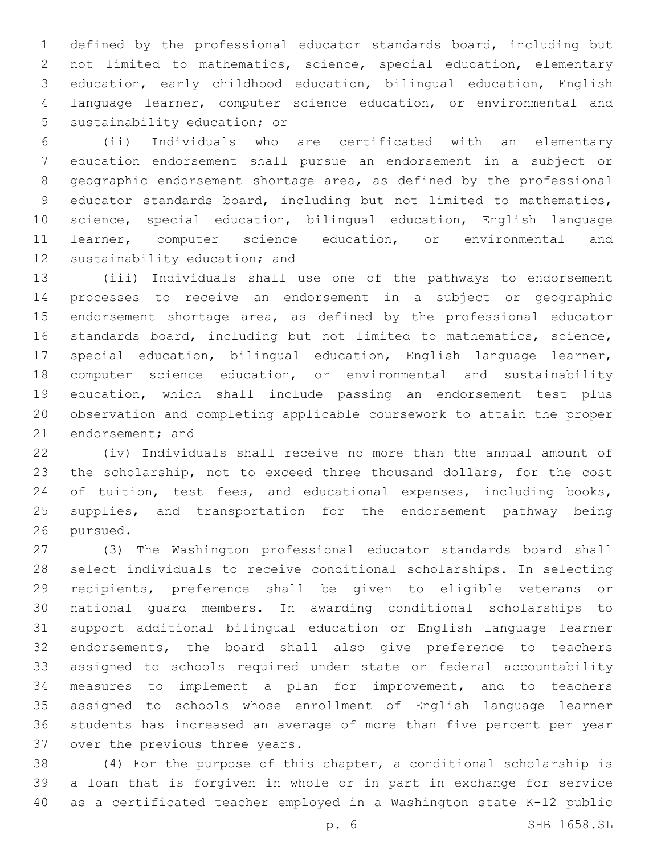defined by the professional educator standards board, including but not limited to mathematics, science, special education, elementary education, early childhood education, bilingual education, English language learner, computer science education, or environmental and 5 sustainability education; or

 (ii) Individuals who are certificated with an elementary education endorsement shall pursue an endorsement in a subject or geographic endorsement shortage area, as defined by the professional educator standards board, including but not limited to mathematics, science, special education, bilingual education, English language learner, computer science education, or environmental and 12 sustainability education; and

 (iii) Individuals shall use one of the pathways to endorsement processes to receive an endorsement in a subject or geographic endorsement shortage area, as defined by the professional educator standards board, including but not limited to mathematics, science, special education, bilingual education, English language learner, computer science education, or environmental and sustainability education, which shall include passing an endorsement test plus observation and completing applicable coursework to attain the proper 21 endorsement; and

 (iv) Individuals shall receive no more than the annual amount of the scholarship, not to exceed three thousand dollars, for the cost 24 of tuition, test fees, and educational expenses, including books, supplies, and transportation for the endorsement pathway being 26 pursued.

 (3) The Washington professional educator standards board shall select individuals to receive conditional scholarships. In selecting recipients, preference shall be given to eligible veterans or national guard members. In awarding conditional scholarships to support additional bilingual education or English language learner endorsements, the board shall also give preference to teachers assigned to schools required under state or federal accountability measures to implement a plan for improvement, and to teachers assigned to schools whose enrollment of English language learner students has increased an average of more than five percent per year 37 over the previous three years.

 (4) For the purpose of this chapter, a conditional scholarship is a loan that is forgiven in whole or in part in exchange for service as a certificated teacher employed in a Washington state K-12 public

p. 6 SHB 1658.SL